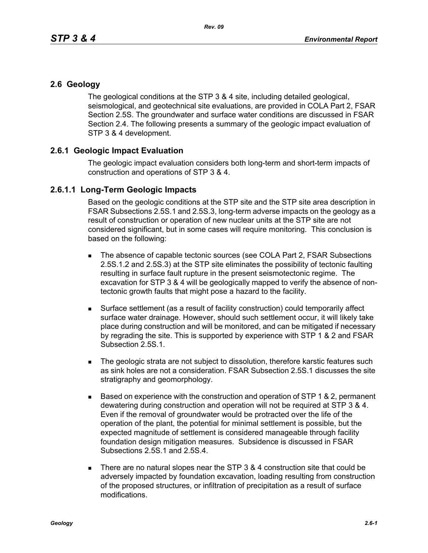## **2.6 Geology**

The geological conditions at the STP 3 & 4 site, including detailed geological, seismological, and geotechnical site evaluations, are provided in COLA Part 2, FSAR Section 2.5S. The groundwater and surface water conditions are discussed in FSAR Section 2.4. The following presents a summary of the geologic impact evaluation of STP 3 & 4 development.

## **2.6.1 Geologic Impact Evaluation**

The geologic impact evaluation considers both long-term and short-term impacts of construction and operations of STP 3 & 4.

## **2.6.1.1 Long-Term Geologic Impacts**

Based on the geologic conditions at the STP site and the STP site area description in FSAR Subsections 2.5S.1 and 2.5S.3, long-term adverse impacts on the geology as a result of construction or operation of new nuclear units at the STP site are not considered significant, but in some cases will require monitoring. This conclusion is based on the following:

- The absence of capable tectonic sources (see COLA Part 2, FSAR Subsections 2.5S.1.2 and 2.5S.3) at the STP site eliminates the possibility of tectonic faulting resulting in surface fault rupture in the present seismotectonic regime. The excavation for STP 3 & 4 will be geologically mapped to verify the absence of nontectonic growth faults that might pose a hazard to the facility.
- Surface settlement (as a result of facility construction) could temporarily affect surface water drainage. However, should such settlement occur, it will likely take place during construction and will be monitored, and can be mitigated if necessary by regrading the site. This is supported by experience with STP 1 & 2 and FSAR Subsection 2.5S.1.
- The geologic strata are not subject to dissolution, therefore karstic features such as sink holes are not a consideration. FSAR Subsection 2.5S.1 discusses the site stratigraphy and geomorphology.
- $\blacksquare$  Based on experience with the construction and operation of STP 1 & 2, permanent dewatering during construction and operation will not be required at STP 3 & 4. Even if the removal of groundwater would be protracted over the life of the operation of the plant, the potential for minimal settlement is possible, but the expected magnitude of settlement is considered manageable through facility foundation design mitigation measures. Subsidence is discussed in FSAR Subsections 2.5S.1 and 2.5S.4.
- There are no natural slopes near the STP  $3.8.4$  construction site that could be adversely impacted by foundation excavation, loading resulting from construction of the proposed structures, or infiltration of precipitation as a result of surface modifications.